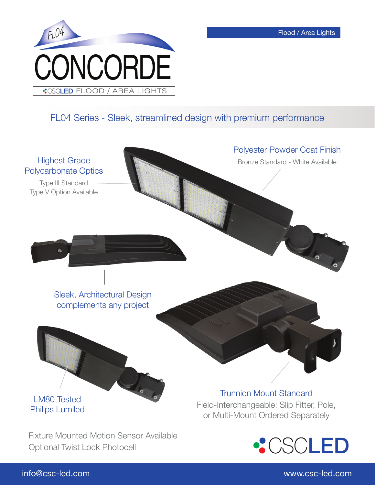

## FL04 Series - Sleek, streamlined design with premium performance



## info@csc-led.com www.csc-led.com